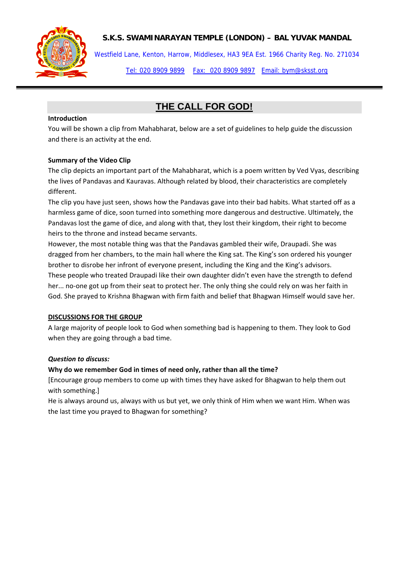### **S.K.S. SWAMINARAYAN TEMPLE (LONDON) – BAL YUVAK MANDAL**



Westfield Lane, Kenton, Harrow, Middlesex, HA3 9EA Est. 1966 Charity Reg. No. 271034

Tel: 020 8909 9899 Fax: 020 8909 9897 Email: bym@sksst.org

# **THE CALL FOR GOD!**

#### **Introduction**

You will be shown a clip from Mahabharat, below are a set of guidelines to help guide the discussion and there is an activity at the end.

#### **Summary of the Video Clip**

The clip depicts an important part of the Mahabharat, which is a poem written by Ved Vyas, describing the lives of Pandavas and Kauravas. Although related by blood, their characteristics are completely different.

The clip you have just seen, shows how the Pandavas gave into their bad habits. What started off as a harmless game of dice, soon turned into something more dangerous and destructive. Ultimately, the Pandavas lost the game of dice, and along with that, they lost their kingdom, their right to become heirs to the throne and instead became servants.

However, the most notable thing was that the Pandavas gambled their wife, Draupadi. She was dragged from her chambers, to the main hall where the King sat. The King's son ordered his younger brother to disrobe her infront of everyone present, including the King and the King's advisors. These people who treated Draupadi like their own daughter didn't even have the strength to defend her... no-one got up from their seat to protect her. The only thing she could rely on was her faith in God. She prayed to Krishna Bhagwan with firm faith and belief that Bhagwan Himself would save her.

#### **DISCUSSIONS FOR THE GROUP**

A large majority of people look to God when something bad is happening to them. They look to God when they are going through a bad time.

#### *Question to discuss:*

#### **Why do we remember God in times of need only, rather than all the time?**

[Encourage group members to come up with times they have asked for Bhagwan to help them out with something.]

He is always around us, always with us but yet, we only think of Him when we want Him. When was the last time you prayed to Bhagwan for something?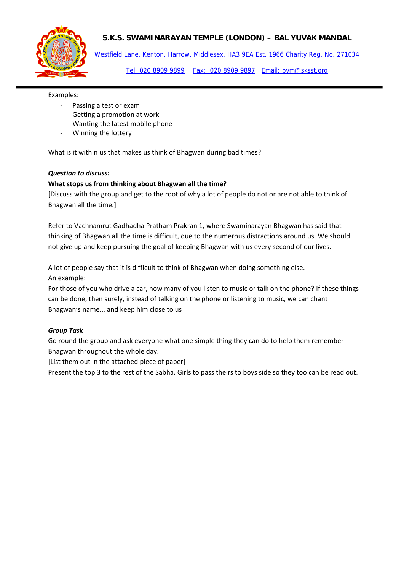

## **S.K.S. SWAMINARAYAN TEMPLE (LONDON) – BAL YUVAK MANDAL**

Westfield Lane, Kenton, Harrow, Middlesex, HA3 9EA Est. 1966 Charity Reg. No. 271034 Tel: 020 8909 9899 Fax: 020 8909 9897 Email: bym@sksst.org

Examples:

- Passing a test or exam
- ‐ Getting a promotion at work
- ‐ Wanting the latest mobile phone
- ‐ Winning the lottery

What is it within us that makes us think of Bhagwan during bad times?

#### *Question to discuss:*

#### **What stops us from thinking about Bhagwan all the time?**

[Discuss with the group and get to the root of why a lot of people do not or are not able to think of Bhagwan all the time.]

Refer to Vachnamrut Gadhadha Pratham Prakran 1, where Swaminarayan Bhagwan has said that thinking of Bhagwan all the time is difficult, due to the numerous distractions around us. We should not give up and keep pursuing the goal of keeping Bhagwan with us every second of our lives.

A lot of people say that it is difficult to think of Bhagwan when doing something else. An example:

For those of you who drive a car, how many of you listen to music or talk on the phone? If these things can be done, then surely, instead of talking on the phone or listening to music, we can chant Bhagwan's name... and keep him close to us

#### *Group Task*

Go round the group and ask everyone what one simple thing they can do to help them remember Bhagwan throughout the whole day.

[List them out in the attached piece of paper]

Present the top 3 to the rest of the Sabha. Girls to pass theirs to boys side so they too can be read out.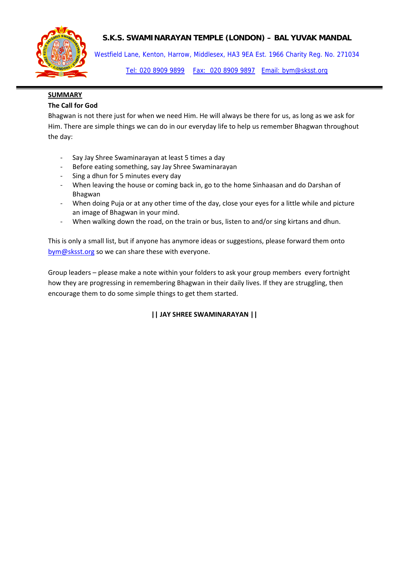## **S.K.S. SWAMINARAYAN TEMPLE (LONDON) – BAL YUVAK MANDAL**



Westfield Lane, Kenton, Harrow, Middlesex, HA3 9EA Est. 1966 Charity Reg. No. 271034

Tel: 020 8909 9899 Fax: 020 8909 9897 Email: bym@sksst.org

# **SUMMARY**

### **The Call for God**

Bhagwan is not there just for when we need Him. He will always be there for us, as long as we ask for Him. There are simple things we can do in our everyday life to help us remember Bhagwan throughout the day:

- ‐ Say Jay Shree Swaminarayan at least 5 times a day
- ‐ Before eating something, say Jay Shree Swaminarayan
- ‐ Sing a dhun for 5 minutes every day
- When leaving the house or coming back in, go to the home Sinhaasan and do Darshan of Bhagwan
- When doing Puja or at any other time of the day, close your eyes for a little while and picture an image of Bhagwan in your mind.
- ‐ When walking down the road, on the train or bus, listen to and/or sing kirtans and dhun.

This is only a small list, but if anyone has anymore ideas or suggestions, please forward them onto bym@sksst.org so we can share these with everyone.

Group leaders – please make a note within your folders to ask your group members every fortnight how they are progressing in remembering Bhagwan in their daily lives. If they are struggling, then encourage them to do some simple things to get them started.

# **|| JAY SHREE SWAMINARAYAN ||**